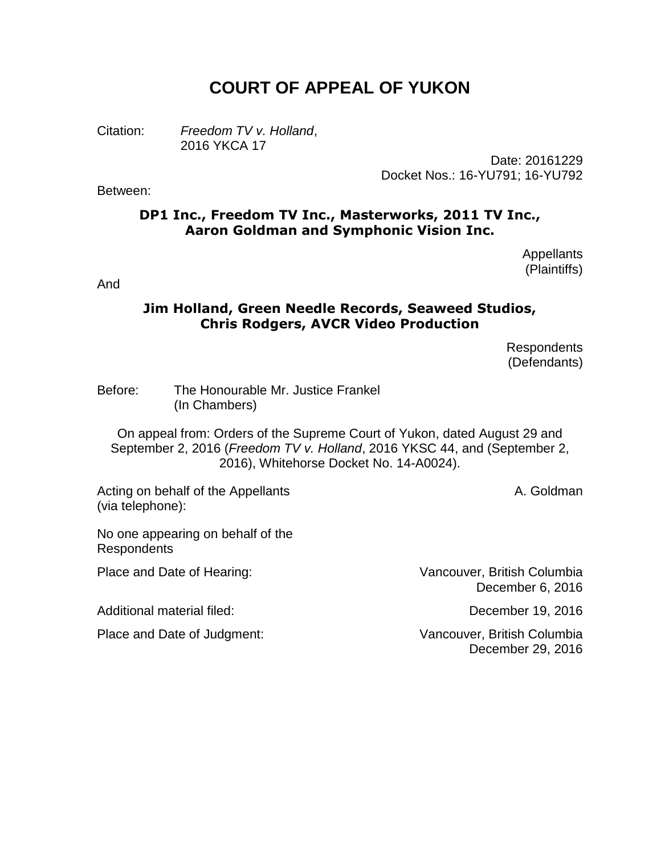# **COURT OF APPEAL OF YUKON**

Citation: *Freedom TV v. Holland*, 2016 YKCA 17

> Date: 20161229 Docket Nos.: 16-YU791; 16-YU792

#### Between:

# **DP1 Inc., Freedom TV Inc., Masterworks, 2011 TV Inc., Aaron Goldman and Symphonic Vision Inc.**

Appellants (Plaintiffs)

And

#### **Jim Holland, Green Needle Records, Seaweed Studios, Chris Rodgers, AVCR Video Production**

Respondents (Defendants)

Before: The Honourable Mr. Justice Frankel (In Chambers)

On appeal from: Orders of the Supreme Court of Yukon, dated August 29 and September 2, 2016 (*Freedom TV v. Holland*, 2016 YKSC 44, and (September 2, 2016), Whitehorse Docket No. 14-A0024).

Acting on behalf of the Appellants (via telephone):

A. Goldman

No one appearing on behalf of the Respondents

Additional material filed: December 19, 2016

Place and Date of Hearing: Vancouver, British Columbia December 6, 2016

Place and Date of Judgment: Vancouver, British Columbia December 29, 2016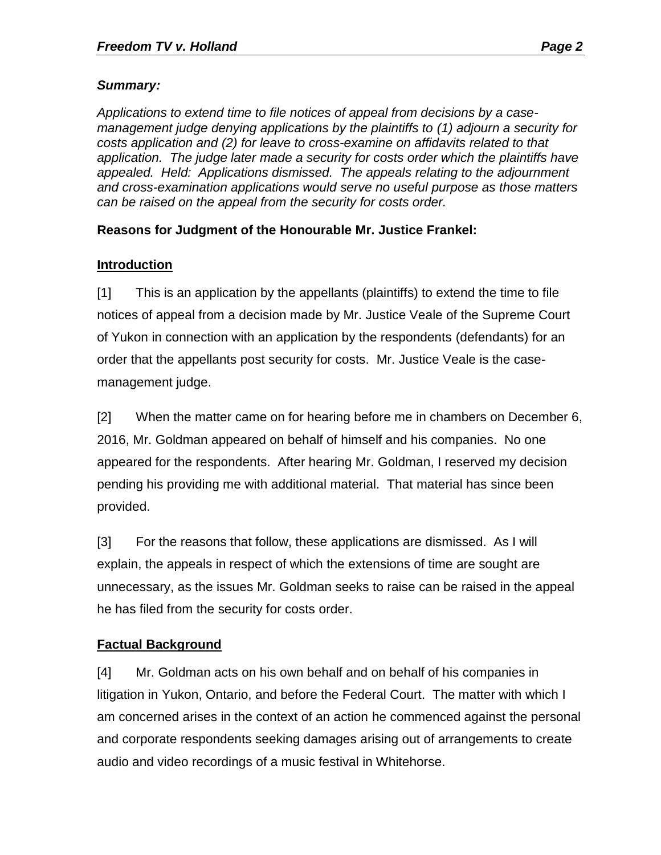# *Summary:*

*Applications to extend time to file notices of appeal from decisions by a casemanagement judge denying applications by the plaintiffs to (1) adjourn a security for costs application and (2) for leave to cross-examine on affidavits related to that application. The judge later made a security for costs order which the plaintiffs have appealed. Held: Applications dismissed. The appeals relating to the adjournment and cross-examination applications would serve no useful purpose as those matters can be raised on the appeal from the security for costs order.*

# **Reasons for Judgment of the Honourable Mr. Justice Frankel:**

# **Introduction**

[1] This is an application by the appellants (plaintiffs) to extend the time to file notices of appeal from a decision made by Mr. Justice Veale of the Supreme Court of Yukon in connection with an application by the respondents (defendants) for an order that the appellants post security for costs. Mr. Justice Veale is the casemanagement judge.

[2] When the matter came on for hearing before me in chambers on December 6, 2016, Mr. Goldman appeared on behalf of himself and his companies. No one appeared for the respondents. After hearing Mr. Goldman, I reserved my decision pending his providing me with additional material. That material has since been provided.

[3] For the reasons that follow, these applications are dismissed. As I will explain, the appeals in respect of which the extensions of time are sought are unnecessary, as the issues Mr. Goldman seeks to raise can be raised in the appeal he has filed from the security for costs order.

# **Factual Background**

[4] Mr. Goldman acts on his own behalf and on behalf of his companies in litigation in Yukon, Ontario, and before the Federal Court. The matter with which I am concerned arises in the context of an action he commenced against the personal and corporate respondents seeking damages arising out of arrangements to create audio and video recordings of a music festival in Whitehorse.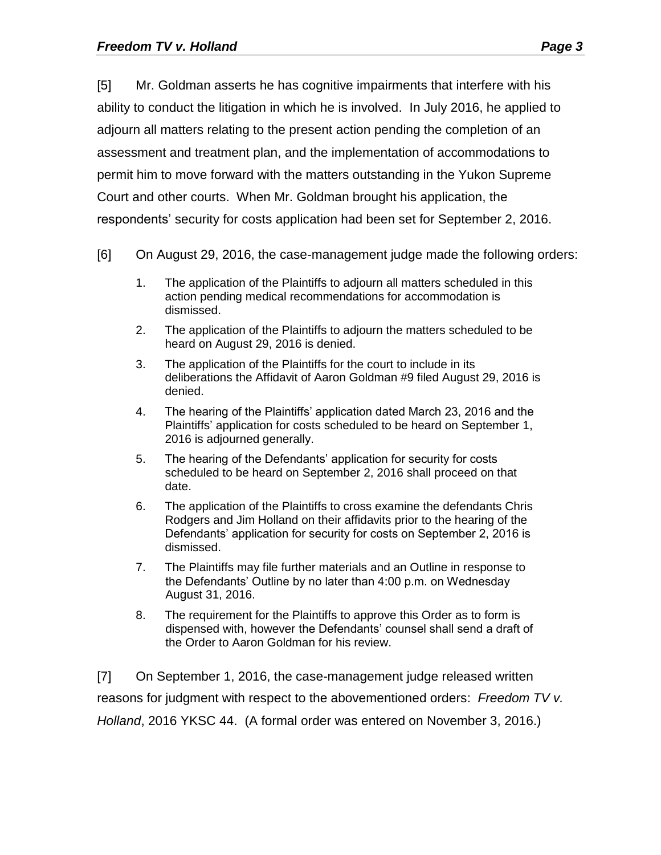[5] Mr. Goldman asserts he has cognitive impairments that interfere with his ability to conduct the litigation in which he is involved. In July 2016, he applied to adjourn all matters relating to the present action pending the completion of an assessment and treatment plan, and the implementation of accommodations to permit him to move forward with the matters outstanding in the Yukon Supreme Court and other courts. When Mr. Goldman brought his application, the respondents' security for costs application had been set for September 2, 2016.

- [6] On August 29, 2016, the case-management judge made the following orders:
	- 1. The application of the Plaintiffs to adjourn all matters scheduled in this action pending medical recommendations for accommodation is dismissed.
	- 2. The application of the Plaintiffs to adjourn the matters scheduled to be heard on August 29, 2016 is denied.
	- 3. The application of the Plaintiffs for the court to include in its deliberations the Affidavit of Aaron Goldman #9 filed August 29, 2016 is denied.
	- 4. The hearing of the Plaintiffs' application dated March 23, 2016 and the Plaintiffs' application for costs scheduled to be heard on September 1, 2016 is adjourned generally.
	- 5. The hearing of the Defendants' application for security for costs scheduled to be heard on September 2, 2016 shall proceed on that date.
	- 6. The application of the Plaintiffs to cross examine the defendants Chris Rodgers and Jim Holland on their affidavits prior to the hearing of the Defendants' application for security for costs on September 2, 2016 is dismissed.
	- 7. The Plaintiffs may file further materials and an Outline in response to the Defendants' Outline by no later than 4:00 p.m. on Wednesday August 31, 2016.
	- 8. The requirement for the Plaintiffs to approve this Order as to form is dispensed with, however the Defendants' counsel shall send a draft of the Order to Aaron Goldman for his review.

[7] On September 1, 2016, the case-management judge released written reasons for judgment with respect to the abovementioned orders: *Freedom TV v. Holland*, 2016 YKSC 44. (A formal order was entered on November 3, 2016.)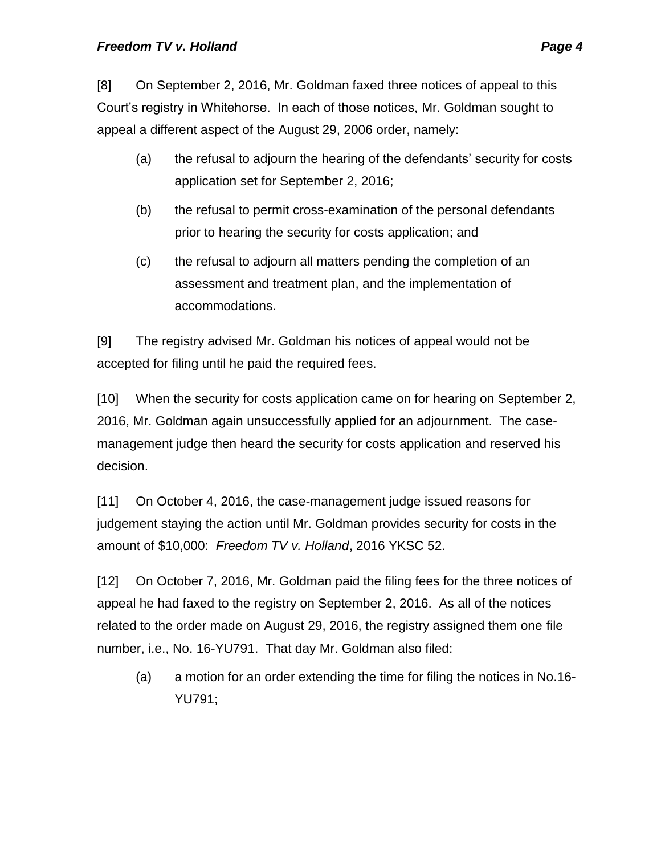[8] On September 2, 2016, Mr. Goldman faxed three notices of appeal to this Court's registry in Whitehorse. In each of those notices, Mr. Goldman sought to appeal a different aspect of the August 29, 2006 order, namely:

- (a) the refusal to adjourn the hearing of the defendants' security for costs application set for September 2, 2016;
- (b) the refusal to permit cross-examination of the personal defendants prior to hearing the security for costs application; and
- (c) the refusal to adjourn all matters pending the completion of an assessment and treatment plan, and the implementation of accommodations.

[9] The registry advised Mr. Goldman his notices of appeal would not be accepted for filing until he paid the required fees.

[10] When the security for costs application came on for hearing on September 2, 2016, Mr. Goldman again unsuccessfully applied for an adjournment. The casemanagement judge then heard the security for costs application and reserved his decision.

[11] On October 4, 2016, the case-management judge issued reasons for judgement staying the action until Mr. Goldman provides security for costs in the amount of \$10,000: *Freedom TV v. Holland*, 2016 YKSC 52.

[12] On October 7, 2016, Mr. Goldman paid the filing fees for the three notices of appeal he had faxed to the registry on September 2, 2016. As all of the notices related to the order made on August 29, 2016, the registry assigned them one file number, i.e., No. 16-YU791. That day Mr. Goldman also filed:

(a) a motion for an order extending the time for filing the notices in No.16- YU791;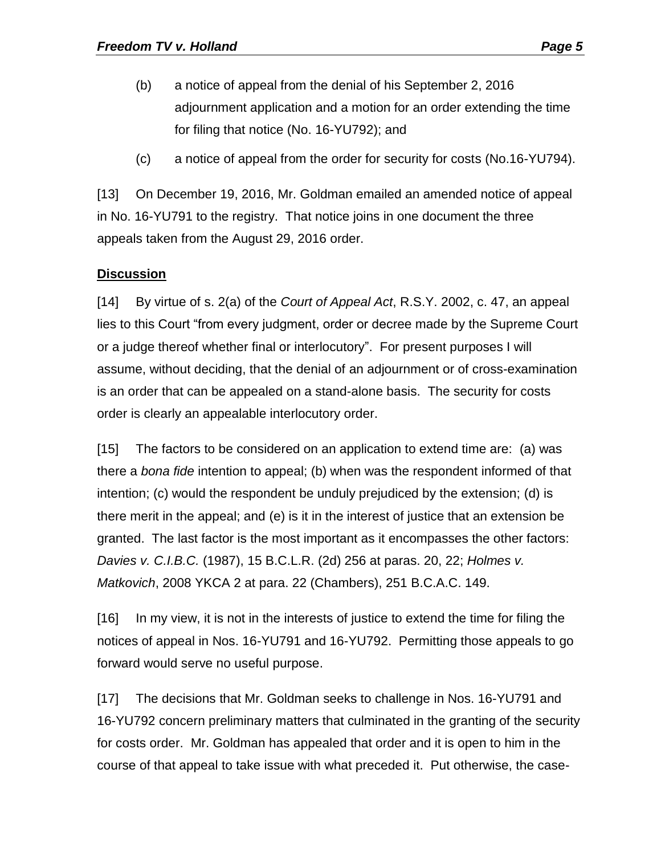- (b) a notice of appeal from the denial of his September 2, 2016 adjournment application and a motion for an order extending the time for filing that notice (No. 16-YU792); and
- (c) a notice of appeal from the order for security for costs (No.16-YU794).

[13] On December 19, 2016, Mr. Goldman emailed an amended notice of appeal in No. 16-YU791 to the registry. That notice joins in one document the three appeals taken from the August 29, 2016 order.

# **Discussion**

[14] By virtue of s. 2(a) of the *Court of Appeal Act*, R.S.Y. 2002, c. 47, an appeal lies to this Court "from every judgment, order or decree made by the Supreme Court or a judge thereof whether final or interlocutory". For present purposes I will assume, without deciding, that the denial of an adjournment or of cross-examination is an order that can be appealed on a stand-alone basis. The security for costs order is clearly an appealable interlocutory order.

[15] The factors to be considered on an application to extend time are: (a) was there a *bona fide* intention to appeal; (b) when was the respondent informed of that intention; (c) would the respondent be unduly prejudiced by the extension; (d) is there merit in the appeal; and (e) is it in the interest of justice that an extension be granted. The last factor is the most important as it encompasses the other factors: *Davies v. C.I.B.C.* (1987), 15 B.C.L.R. (2d) 256 at paras. 20, 22; *Holmes v. Matkovich*, 2008 YKCA 2 at para. 22 (Chambers), 251 B.C.A.C. 149.

[16] In my view, it is not in the interests of justice to extend the time for filing the notices of appeal in Nos. 16-YU791 and 16-YU792. Permitting those appeals to go forward would serve no useful purpose.

[17] The decisions that Mr. Goldman seeks to challenge in Nos. 16-YU791 and 16-YU792 concern preliminary matters that culminated in the granting of the security for costs order. Mr. Goldman has appealed that order and it is open to him in the course of that appeal to take issue with what preceded it. Put otherwise, the case-